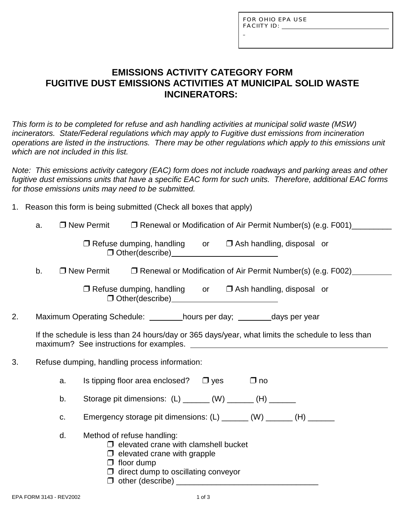FOR OHIO EPA USE FACIITY ID:  $\_\_\_\_\_\_\_\_\_\_\$ 

# **EMISSIONS ACTIVITY CATEGORY FORM FUGITIVE DUST EMISSIONS ACTIVITIES AT MUNICIPAL SOLID WASTE INCINERATORS:**

*This form is to be completed for refuse and ash handling activities at municipal solid waste (MSW) incinerators. State/Federal regulations which may apply to Fugitive dust emissions from incineration operations are listed in the instructions. There may be other regulations which apply to this emissions unit which are not included in this list.*

*Note: This emissions activity category (EAC) form does not include roadways and parking areas and other fugitive dust emissions units that have a specific EAC form for such units. Therefore, additional EAC forms for those emissions units may need to be submitted.*

| 1. Reason this form is being submitted (Check all boxes that apply) |
|---------------------------------------------------------------------|
|---------------------------------------------------------------------|

|                                                     | a. |    | $\square$ New Permit |                                                                                                                                                                                    |  |           | □ Renewal or Modification of Air Permit Number(s) (e.g. F001)                                     |  |
|-----------------------------------------------------|----|----|----------------------|------------------------------------------------------------------------------------------------------------------------------------------------------------------------------------|--|-----------|---------------------------------------------------------------------------------------------------|--|
|                                                     |    |    |                      | $\Box$ Refuse dumping, handling or $\Box$ Ash handling, disposal or                                                                                                                |  |           |                                                                                                   |  |
|                                                     | b. |    | $\Box$ New Permit    |                                                                                                                                                                                    |  |           | □ Renewal or Modification of Air Permit Number(s) (e.g. F002)                                     |  |
|                                                     |    |    |                      | $\Box$ Refuse dumping, handling or $\Box$ Ash handling, disposal or                                                                                                                |  |           |                                                                                                   |  |
| 2.                                                  |    |    |                      | Maximum Operating Schedule: _________hours per day; ________days per year                                                                                                          |  |           |                                                                                                   |  |
|                                                     |    |    |                      |                                                                                                                                                                                    |  |           | If the schedule is less than 24 hours/day or 365 days/year, what limits the schedule to less than |  |
| 3.<br>Refuse dumping, handling process information: |    |    |                      |                                                                                                                                                                                    |  |           |                                                                                                   |  |
|                                                     |    | a. |                      | Is tipping floor area enclosed? $\Box$ yes                                                                                                                                         |  | $\Box$ no |                                                                                                   |  |
|                                                     |    | b. |                      | Storage pit dimensions: (L) ______ (W) ______ (H) ______                                                                                                                           |  |           |                                                                                                   |  |
|                                                     |    | C. |                      | Emergency storage pit dimensions: (L) _______ (W) ______ (H) ______                                                                                                                |  |           |                                                                                                   |  |
|                                                     |    | d. |                      | Method of refuse handling:<br>$\Box$ elevated crane with clamshell bucket<br>$\Box$ elevated crane with grapple<br>$\Box$ floor dump<br>$\Box$ direct dump to oscillating conveyor |  |           |                                                                                                   |  |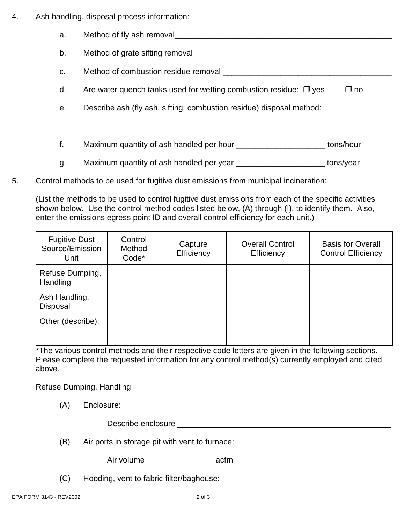- 4. Ash handling, disposal process information:
	- a. Method of fly ash removal b. Method of grate sifting removal c. Method of combustion residue removal \_\_\_\_\_\_\_\_\_\_\_\_\_\_\_\_\_\_\_\_\_\_\_\_\_\_\_\_\_\_\_\_\_\_\_\_\_\_ d. Are water quench tanks used for wetting combustion residue:  $\Box$  yes  $\Box$  no e. Describe ash (fly ash, sifting, combustion residue) disposal method: \_\_\_\_\_\_\_\_\_\_\_\_\_\_\_\_\_\_\_\_\_\_\_\_\_\_\_\_\_\_\_\_\_\_\_\_\_\_\_\_\_\_\_\_\_\_\_\_\_\_\_\_\_\_\_\_\_\_\_\_\_\_\_\_\_ \_\_\_\_\_\_\_\_\_\_\_\_\_\_\_\_\_\_\_\_\_\_\_\_\_\_\_\_\_\_\_\_\_\_\_\_\_\_\_\_\_\_\_\_\_\_\_\_\_\_\_\_\_\_\_\_\_\_\_\_\_\_\_\_\_ f. Maximum quantity of ash handled per hour the same tons/hour g. Maximum quantity of ash handled per year \_\_\_\_\_\_\_\_\_\_\_\_\_\_\_\_\_\_\_\_ tons/year
- 5. Control methods to be used for fugitive dust emissions from municipal incineration:

(List the methods to be used to control fugitive dust emissions from each of the specific activities shown below. Use the control method codes listed below, (A) through (I), to identify them. Also, enter the emissions egress point ID and overall control efficiency for each unit.)

| <b>Fugitive Dust</b><br>Source/Emission<br>Unit | Control<br>Method<br>Code* | Capture<br>Efficiency | <b>Overall Control</b><br>Efficiency | <b>Basis for Overall</b><br><b>Control Efficiency</b> |
|-------------------------------------------------|----------------------------|-----------------------|--------------------------------------|-------------------------------------------------------|
| Refuse Dumping,<br>Handling                     |                            |                       |                                      |                                                       |
| Ash Handling,<br>Disposal                       |                            |                       |                                      |                                                       |
| Other (describe):                               |                            |                       |                                      |                                                       |

\*The various control methods and their respective code letters are given in the following sections. Please complete the requested information for any control method(s) currently employed and cited above.

Refuse Dumping, Handling

(A) Enclosure:

Describe enclosure entrance and the set of the set of the set of the set of the set of the set of the set of the set of the set of the set of the set of the set of the set of the set of the set of the set of the set of the

(B) Air ports in storage pit with vent to furnace:

Air volume \_\_\_\_\_\_\_\_\_\_\_\_\_\_\_ acfm

(C) Hooding, vent to fabric filter/baghouse: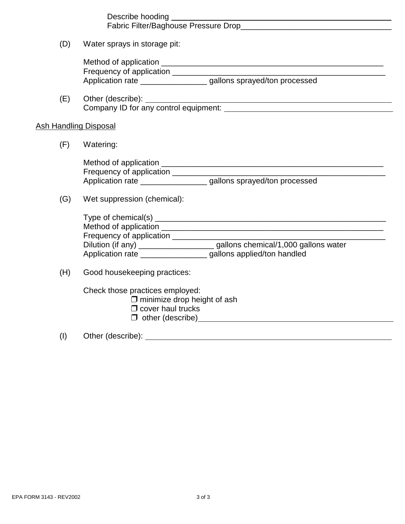| (D)                          | Water sprays in storage pit:                                                                                                                                                   |  |  |  |  |  |
|------------------------------|--------------------------------------------------------------------------------------------------------------------------------------------------------------------------------|--|--|--|--|--|
|                              | Frequency of application ________________________<br>Application rate ___________________gallons sprayed/ton processed                                                         |  |  |  |  |  |
| (E)                          |                                                                                                                                                                                |  |  |  |  |  |
| <b>Ash Handling Disposal</b> |                                                                                                                                                                                |  |  |  |  |  |
| (F)                          | Watering:                                                                                                                                                                      |  |  |  |  |  |
|                              | Application rate ___________________gallons sprayed/ton processed                                                                                                              |  |  |  |  |  |
| (G)                          | Wet suppression (chemical):                                                                                                                                                    |  |  |  |  |  |
|                              | Dilution (if any) ______________________gallons chemical/1,000 gallons water<br>Application rate __________________gallons applied/ton handled                                 |  |  |  |  |  |
| (H)                          | Good housekeeping practices:                                                                                                                                                   |  |  |  |  |  |
|                              | Check those practices employed:<br>$\square$ minimize drop height of ash<br>$\Box$ cover haul trucks<br>$\Box$ other (describe) example and the set of $\Box$ other (describe) |  |  |  |  |  |

(I) Other (describe):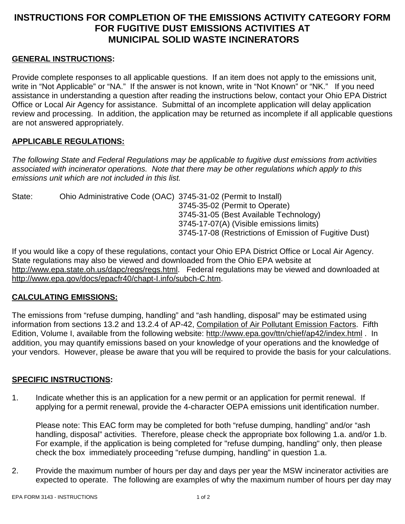# **INSTRUCTIONS FOR COMPLETION OF THE EMISSIONS ACTIVITY CATEGORY FORM FOR FUGITIVE DUST EMISSIONS ACTIVITIES AT MUNICIPAL SOLID WASTE INCINERATORS**

### **GENERAL INSTRUCTIONS:**

Provide complete responses to all applicable questions. If an item does not apply to the emissions unit, write in "Not Applicable" or "NA." If the answer is not known, write in "Not Known" or "NK." If you need assistance in understanding a question after reading the instructions below, contact your Ohio EPA District Office or Local Air Agency for assistance. Submittal of an incomplete application will delay application review and processing. In addition, the application may be returned as incomplete if all applicable questions are not answered appropriately.

### **APPLICABLE REGULATIONS:**

*The following State and Federal Regulations may be applicable to fugitive dust emissions from activities associated with incinerator operations. Note that there may be other regulations which apply to this emissions unit which are not included in this list.*

State: Ohio Administrative Code (OAC) 3745-31-02 (Permit to Install) 3745-35-02 (Permit to Operate) 3745-31-05 (Best Available Technology) 3745-17-07(A) (Visible emissions limits) 3745-17-08 (Restrictions of Emission of Fugitive Dust)

If you would like a copy of these regulations, contact your Ohio EPA District Office or Local Air Agency. State regulations may also be viewed and downloaded from the Ohio EPA website at http://www.epa.state.oh.us/dapc/regs/regs.html. Federal regulations may be viewed and downloaded at http://www.epa.gov/docs/epacfr40/chapt-I.info/subch-C.htm.

### **CALCULATING EMISSIONS:**

The emissions from "refuse dumping, handling" and "ash handling, disposal" may be estimated using information from sections 13.2 and 13.2.4 of AP-42, Compilation of Air Pollutant Emission Factors. Fifth Edition, Volume I, available from the following website: http://www.epa.gov/ttn/chief/ap42/index.html . In addition, you may quantify emissions based on your knowledge of your operations and the knowledge of your vendors. However, please be aware that you will be required to provide the basis for your calculations.

### **SPECIFIC INSTRUCTIONS:**

1. Indicate whether this is an application for a new permit or an application for permit renewal. If applying for a permit renewal, provide the 4-character OEPA emissions unit identification number.

Please note: This EAC form may be completed for both "refuse dumping, handling" and/or "ash handling, disposal" activities. Therefore, please check the appropriate box following 1.a. and/or 1.b. For example, if the application is being completed for "refuse dumping, handling" only, then please check the box immediately proceeding "refuse dumping, handling" in question 1.a.

2. Provide the maximum number of hours per day and days per year the MSW incinerator activities are expected to operate. The following are examples of why the maximum number of hours per day may